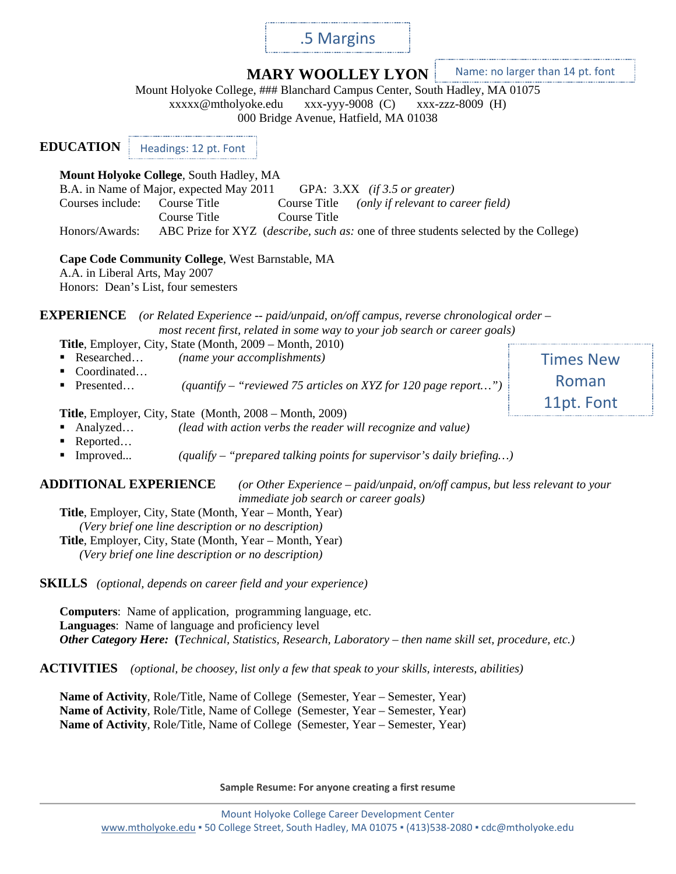# .5 Margins

**MARY WOOLLEY LYON**

Name: no larger than 14 pt. font

Mount Holyoke College, ### Blanchard Campus Center, South Hadley, MA 01075<br>xxxxx@mtholyoke.edu xxx-yyy-9008 (C) xxx-zzz-8009 (H) xxxxx@mtholyoke.edu xxx-yyy-9008 (C) xxx-zzz-8009 (H) 000 Bridge Avenue, Hatfield, MA 01038 **EDUCATION Mount Holyoke College**, South Hadley, MA B.A. in Name of Major, expected May 2011 GPA: 3.XX *(if 3.5 or greater)* Courses include: Course Title Course Title *(only if relevant to career field)* Course Title Course Title Honors/Awards: ABC Prize for XYZ (*describe, such as:* one of three students selected by the College) **Cape Code Community College**, West Barnstable, MA A.A. in Liberal Arts, May 2007 Honors: Dean's List, four semesters **EXPERIENCE** *(or Related Experience -- paid/unpaid, on/off campus, reverse chronological order – most recent first, related in some way to your job search or career goals)* **Title**, Employer, City, State (Month, 2009 – Month, 2010) Researched… *(name your accomplishments)* Coordinated… ■ Presented… *(quantify – "reviewed 75 articles on XYZ for 120 page report...")* **Title**, Employer, City, State (Month, 2008 – Month, 2009) Analyzed… *(lead with action verbs the reader will recognize and value)* Reported… Improved... *(qualify – "prepared talking points for supervisor's daily briefing…)* Times New Roman 11pt. Font Headings: 12 pt. Font

### **ADDITIONAL EXPERIENCE** *(or Other Experience – paid/unpaid, on/off campus, but less relevant to your immediate job search or career goals)*

**Title**, Employer, City, State (Month, Year – Month, Year) *(Very brief one line description or no description)* **Title**, Employer, City, State (Month, Year – Month, Year) *(Very brief one line description or no description)*

**SKILLS** *(optional, depends on career field and your experience)*

**Computers**: Name of application, programming language, etc. **Languages**: Name of language and proficiency level *Other Category Here:* **(***Technical, Statistics, Research, Laboratory – then name skill set, procedure, etc.)*

**ACTIVITIES** *(optional, be choosey, list only a few that speak to your skills, interests, abilities)*

**Name of Activity**, Role/Title, Name of College (Semester, Year – Semester, Year) **Name of Activity**, Role/Title, Name of College (Semester, Year – Semester, Year) **Name of Activity**, Role/Title, Name of College (Semester, Year – Semester, Year)

**Sample Resume: For anyone creating a first resume**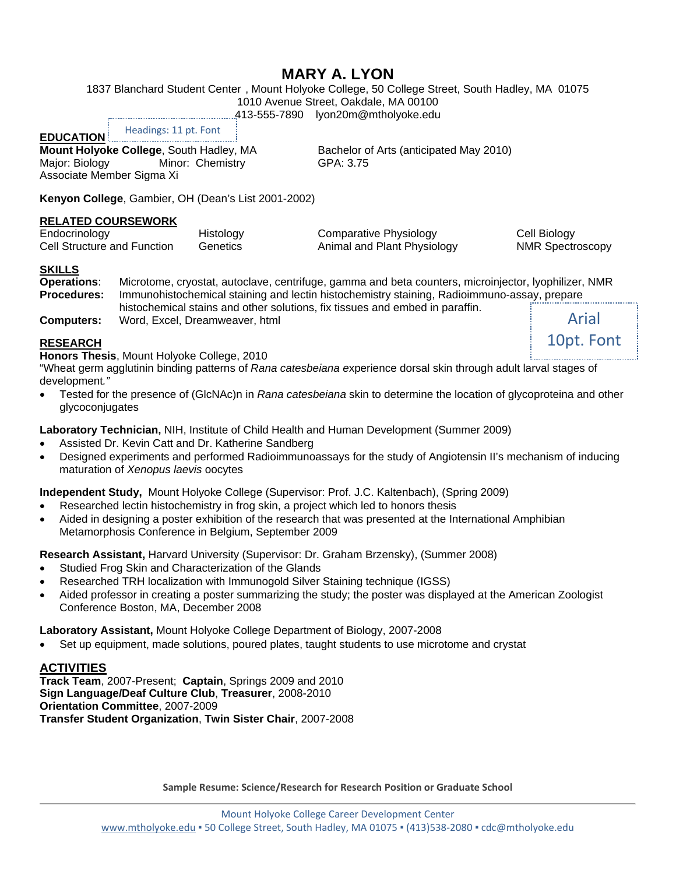# **MARY A. LYON**

1837 Blanchard Student Center , Mount Holyoke College, 50 College Street, South Hadley, MA 01075

1010 Avenue Street, Oakdale, MA 00100

413-555-7890 lyon20m@mtholyoke.edu

**EDUCATION**

Headings: 11 pt. Font

**Mount Holyoke College**, South Hadley, MA Bachelor of Arts (anticipated May 2010)<br>Major: Biology Minor: Chemistry GPA: 3.75 Minor: Chemistry Associate Member Sigma Xi

**Kenyon College**, Gambier, OH (Dean's List 2001-2002)

### **RELATED COURSEWORK**

Endocrinology Histology Comparative Physiology Cell Biology Cell Structure and Function Genetics Animal and Plant Physiology NMR Spectroscopy

### **SKILLS**

**Operations**: Microtome, cryostat, autoclave, centrifuge, gamma and beta counters, microinjector, lyophilizer, NMR **Procedures:** Immunohistochemical staining and lectin histochemistry staining, Radioimmuno-assay, prepare histochemical stains and other solutions, fix tissues and embed in paraffin. Arial

**Computers:** Word, Excel, Dreamweaver, html

10pt. Font

### **RESEARCH**

**Honors Thesis**, Mount Holyoke College, 2010

"Wheat germ agglutinin binding patterns of *Rana catesbeiana e*xperience dorsal skin through adult larval stages of development*."*

• Tested for the presence of (GlcNAc)n in *Rana catesbeiana* skin to determine the location of glycoproteina and other glycoconjugates

**Laboratory Technician,** NIH, Institute of Child Health and Human Development (Summer 2009)

- Assisted Dr. Kevin Catt and Dr. Katherine Sandberg
- Designed experiments and performed Radioimmunoassays for the study of Angiotensin II's mechanism of inducing maturation of *Xenopus laevis* oocytes

**Independent Study,** Mount Holyoke College (Supervisor: Prof. J.C. Kaltenbach), (Spring 2009)

- Researched lectin histochemistry in frog skin, a project which led to honors thesis
- Aided in designing a poster exhibition of the research that was presented at the International Amphibian Metamorphosis Conference in Belgium, September 2009

**Research Assistant,** Harvard University (Supervisor: Dr. Graham Brzensky), (Summer 2008)

- Studied Frog Skin and Characterization of the Glands
- Researched TRH localization with Immunogold Silver Staining technique (IGSS)
- Aided professor in creating a poster summarizing the study; the poster was displayed at the American Zoologist Conference Boston, MA, December 2008

**Laboratory Assistant,** Mount Holyoke College Department of Biology, 2007-2008

• Set up equipment, made solutions, poured plates, taught students to use microtome and crystat

# **ACTIVITIES**

**Track Team**, 2007-Present; **Captain**, Springs 2009 and 2010 **Sign Language/Deaf Culture Club**, **Treasurer**, 2008-2010 **Orientation Committee**, 2007-2009 **Transfer Student Organization**, **Twin Sister Chair**, 2007-2008

**Sample Resume: Science/Research for Research Position or Graduate School**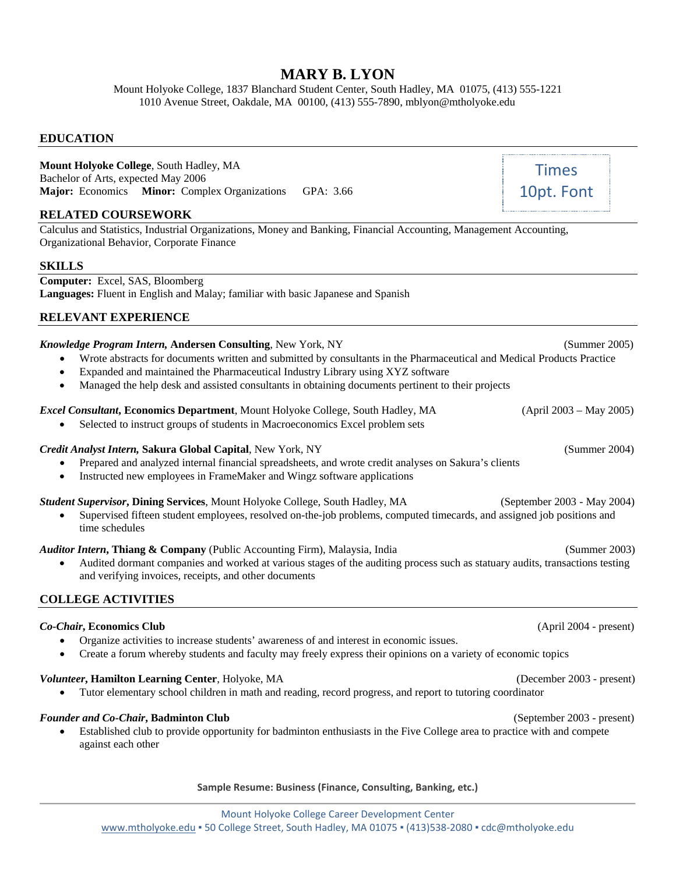# **MARY B. LYON**

Mount Holyoke College, 1837 Blanchard Student Center, South Hadley, MA 01075, (413) 555-1221 1010 Avenue Street, Oakdale, MA 00100, (413) 555-7890, mblyon@mtholyoke.edu

### **EDUCATION**

**Mount Holyoke College**, South Hadley, MA Bachelor of Arts, expected May 2006 **Major:** Economics **Minor:** Complex Organizations GPA: 3.66

### **RELATED COURSEWORK**

Calculus and Statistics, Industrial Organizations, Money and Banking, Financial Accounting, Management Accounting, Organizational Behavior, Corporate Finance

### **SKILLS**

**Computer:** Excel, SAS, Bloomberg **Languages:** Fluent in English and Malay; familiar with basic Japanese and Spanish

### **RELEVANT EXPERIENCE**

### *Knowledge Program Intern,* **Andersen Consulting**, New York, NY (Summer 2005)

- Wrote abstracts for documents written and submitted by consultants in the Pharmaceutical and Medical Products Practice
- Expanded and maintained the Pharmaceutical Industry Library using XYZ software
- Managed the help desk and assisted consultants in obtaining documents pertinent to their projects

### *Excel Consultant***, Economics Department**, Mount Holyoke College, South Hadley, MA (April 2003 – May 2005)

Selected to instruct groups of students in Macroeconomics Excel problem sets

### *Credit Analyst Intern,* **Sakura Global Capital**, New York, NY (Summer 2004)

- Prepared and analyzed internal financial spreadsheets, and wrote credit analyses on Sakura's clients
- Instructed new employees in FrameMaker and Wingz software applications

#### *Student Supervisor***, Dining Services**, Mount Holyoke College, South Hadley, MA (September 2003 - May 2004)

• Supervised fifteen student employees, resolved on-the-job problems, computed timecards, and assigned job positions and time schedules

#### *Auditor Intern***, Thiang & Company** (Public Accounting Firm), Malaysia, India (Summer 2003)

• Audited dormant companies and worked at various stages of the auditing process such as statuary audits, transactions testing and verifying invoices, receipts, and other documents

### **COLLEGE ACTIVITIES**

#### *Co-Chair***, Economics Club** (April 2004 - present)

- Organize activities to increase students' awareness of and interest in economic issues.
- Create a forum whereby students and faculty may freely express their opinions on a variety of economic topics

### *Volunteer***, Hamilton Learning Center**, Holyoke, MA (December 2003 - present)

• Tutor elementary school children in math and reading, record progress, and report to tutoring coordinator

#### *Founder and Co-Chair***, Badminton Club** (September 2003 - present)

• Established club to provide opportunity for badminton enthusiasts in the Five College area to practice with and compete against each other

#### **Sample Resume: Business (Finance, Consulting, Banking, etc.)**

Times 10pt. Font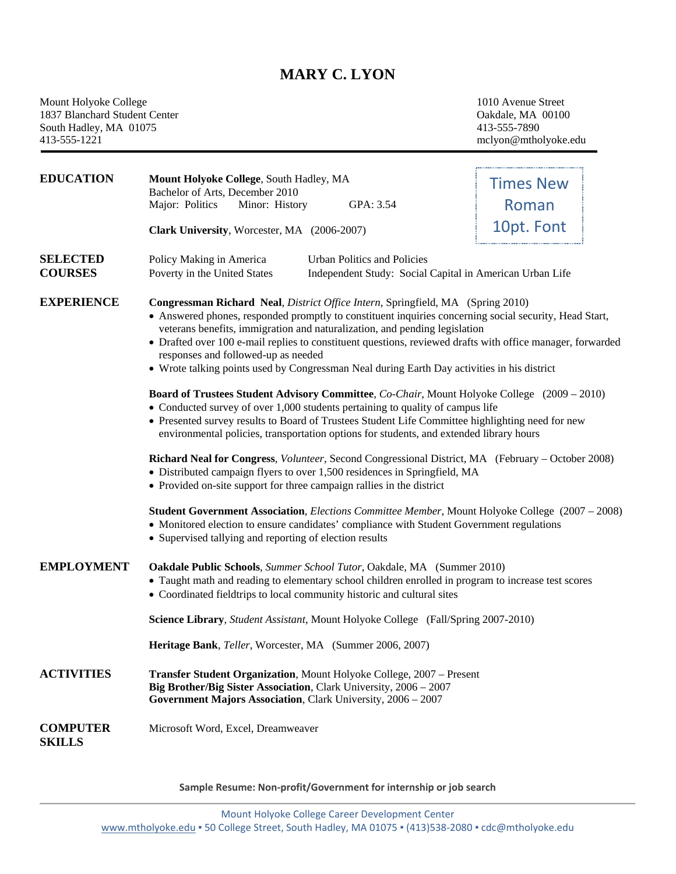# **MARY C. LYON**

Mount Holyoke College 1010 Avenue Street<br>
1837 Blanchard Student Center Context Context Context Context Context Context Context Context Context Context Context Context Context Context Context Context Context Context Contex 1837 Blanchard Student Center Center Calculation Cakdale, MA<br>
1837 Blanchard Student Center Center Center Calculation Cakdale, MA<br>
113-555-7890 South Hadley, MA 01075<br>413-555-1221

413-555-1221 mclyon@mtholyoke.edu

| <b>EDUCATION</b>                                                                  | Mount Holyoke College, South Hadley, MA<br>Bachelor of Arts, December 2010                                                                                                                                                                                                                                                                                                                                                                                                                                                  | <b>Times New</b> |  |
|-----------------------------------------------------------------------------------|-----------------------------------------------------------------------------------------------------------------------------------------------------------------------------------------------------------------------------------------------------------------------------------------------------------------------------------------------------------------------------------------------------------------------------------------------------------------------------------------------------------------------------|------------------|--|
|                                                                                   | Major: Politics<br>Minor: History<br>GPA: 3.54                                                                                                                                                                                                                                                                                                                                                                                                                                                                              | Roman            |  |
|                                                                                   | Clark University, Worcester, MA (2006-2007)                                                                                                                                                                                                                                                                                                                                                                                                                                                                                 | 10pt. Font       |  |
|                                                                                   |                                                                                                                                                                                                                                                                                                                                                                                                                                                                                                                             |                  |  |
| <b>SELECTED</b><br><b>COURSES</b>                                                 | Urban Politics and Policies<br>Policy Making in America<br>Poverty in the United States<br>Independent Study: Social Capital in American Urban Life                                                                                                                                                                                                                                                                                                                                                                         |                  |  |
| <b>EXPERIENCE</b>                                                                 | Congressman Richard Neal, District Office Intern, Springfield, MA (Spring 2010)<br>• Answered phones, responded promptly to constituent inquiries concerning social security, Head Start,<br>veterans benefits, immigration and naturalization, and pending legislation<br>• Drafted over 100 e-mail replies to constituent questions, reviewed drafts with office manager, forwarded<br>responses and followed-up as needed<br>• Wrote talking points used by Congressman Neal during Earth Day activities in his district |                  |  |
|                                                                                   | Board of Trustees Student Advisory Committee, Co-Chair, Mount Holyoke College (2009 – 2010)<br>• Conducted survey of over 1,000 students pertaining to quality of campus life<br>• Presented survey results to Board of Trustees Student Life Committee highlighting need for new<br>environmental policies, transportation options for students, and extended library hours                                                                                                                                                |                  |  |
|                                                                                   | Richard Neal for Congress, Volunteer, Second Congressional District, MA (February – October 2008)<br>· Distributed campaign flyers to over 1,500 residences in Springfield, MA<br>• Provided on-site support for three campaign rallies in the district                                                                                                                                                                                                                                                                     |                  |  |
|                                                                                   | <b>Student Government Association</b> , <i>Elections Committee Member</i> , Mount Holyoke College (2007 – 2008)<br>• Monitored election to ensure candidates' compliance with Student Government regulations<br>• Supervised tallying and reporting of election results                                                                                                                                                                                                                                                     |                  |  |
| <b>EMPLOYMENT</b>                                                                 | Oakdale Public Schools, Summer School Tutor, Oakdale, MA (Summer 2010)<br>• Taught math and reading to elementary school children enrolled in program to increase test scores<br>• Coordinated fieldtrips to local community historic and cultural sites                                                                                                                                                                                                                                                                    |                  |  |
| Science Library, Student Assistant, Mount Holyoke College (Fall/Spring 2007-2010) |                                                                                                                                                                                                                                                                                                                                                                                                                                                                                                                             |                  |  |
|                                                                                   | Heritage Bank, Teller, Worcester, MA (Summer 2006, 2007)                                                                                                                                                                                                                                                                                                                                                                                                                                                                    |                  |  |
| <b>ACTIVITIES</b>                                                                 | <b>Transfer Student Organization, Mount Holyoke College, 2007 – Present</b><br>Big Brother/Big Sister Association, Clark University, 2006 - 2007<br>Government Majors Association, Clark University, 2006 - 2007                                                                                                                                                                                                                                                                                                            |                  |  |
| <b>COMPUTER</b><br><b>SKILLS</b>                                                  | Microsoft Word, Excel, Dreamweaver                                                                                                                                                                                                                                                                                                                                                                                                                                                                                          |                  |  |

**Sample Resume: Non-profit/Government for internship or job search**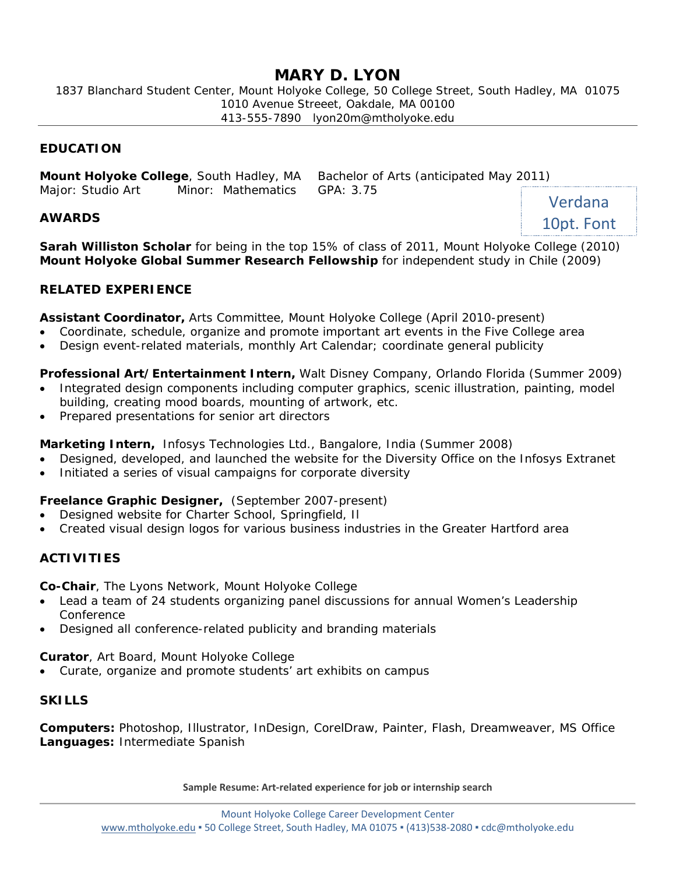# **MARY D. LYON**

1837 Blanchard Student Center, Mount Holyoke College, 50 College Street, South Hadley, MA 01075 1010 Avenue Streeet, Oakdale, MA 00100 413-555-7890 lyon20m@mtholyoke.edu

### **EDUCATION**

**Mount Holyoke College**, South Hadley, MA Bachelor of Arts (anticipated May 2011) Major: Studio Art Minor: Mathematics GPA: 3.75 Verdana

### **AWARDS**

**Sarah Williston Scholar** for being in the top 15% of class of 2011, Mount Holyoke College (2010) **Mount Holyoke Global Summer Research Fellowship** for independent study in Chile (2009)

10pt. Font

### **RELATED EXPERIENCE**

**Assistant Coordinator,** Arts Committee, Mount Holyoke College (April 2010-present)

- Coordinate, schedule, organize and promote important art events in the Five College area
- Design event-related materials, monthly Art Calendar; coordinate general publicity

### **Professional Art/Entertainment Intern,** Walt Disney Company, Orlando Florida (Summer 2009)

- Integrated design components including computer graphics, scenic illustration, painting, model building, creating mood boards, mounting of artwork, etc.
- Prepared presentations for senior art directors

**Marketing Intern,** Infosys Technologies Ltd., Bangalore, India (Summer 2008)

- Designed, developed, and launched the website for the Diversity Office on the Infosys Extranet
- Initiated a series of visual campaigns for corporate diversity

### **Freelance Graphic Designer,** (September 2007-present)

- Designed website for Charter School, Springfield, Il
- Created visual design logos for various business industries in the Greater Hartford area

# **ACTIVITIES**

**Co-Chair**, The Lyons Network, Mount Holyoke College

- Lead a team of 24 students organizing panel discussions for annual Women's Leadership Conference
- Designed all conference-related publicity and branding materials

**Curator**, Art Board, Mount Holyoke College

• Curate, organize and promote students' art exhibits on campus

### **SKILLS**

**Computers:** Photoshop, Illustrator, InDesign, CorelDraw, Painter, Flash, Dreamweaver, MS Office **Languages:** Intermediate Spanish

**Sample Resume: Art-related experience for job or internship search**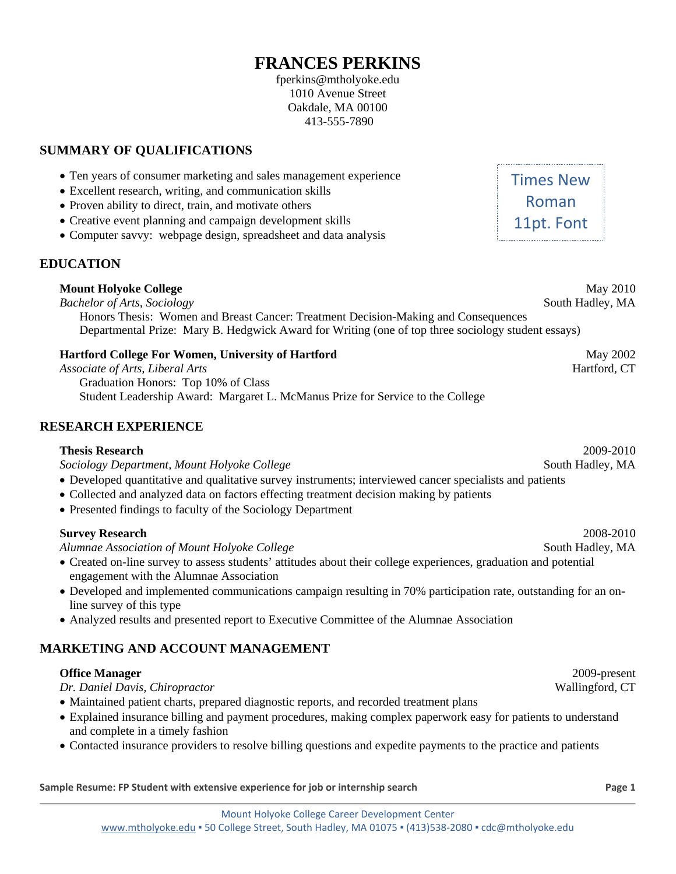# **FRANCES PERKINS**

fperkins@mtholyoke.edu 1010 Avenue Street Oakdale, MA 00100 413-555-7890

# **SUMMARY OF QUALIFICATIONS**

• Ten years of consumer marketing and sales management experience

• Computer savvy: webpage design, spreadsheet and data analysis

• Excellent research, writing, and communication skills • Proven ability to direct, train, and motivate others

• Creative event planning and campaign development skills

| Graduation Honors: Top 10% of Class                                                                      |                  |
|----------------------------------------------------------------------------------------------------------|------------------|
| Student Leadership Award: Margaret L. McManus Prize for Service to the College                           |                  |
| <b>SEARCH EXPERIENCE</b>                                                                                 |                  |
| <b>Thesis Research</b>                                                                                   | 2009-2010        |
| Sociology Department, Mount Holyoke College                                                              | South Hadley, MA |
| • Developed quantitative and qualitative survey instruments; interviewed cancer specialists and patients |                  |
| • Collected and analyzed data on factors effecting treatment decision making by patients                 |                  |
| • Presented findings to faculty of the Sociology Department                                              |                  |

**RESEARCH EXPERIENCE**

**EDUCATION**

*Alumnae Association of Mount Holyoke College* South Hadley, MA

• Created on-line survey to assess students' attitudes about their college experiences, graduation and potential engagement with the Alumnae Association

Honors Thesis: Women and Breast Cancer: Treatment Decision-Making and Consequences

Departmental Prize: Mary B. Hedgwick Award for Writing (one of top three sociology student essays)

- Developed and implemented communications campaign resulting in 70% participation rate, outstanding for an online survey of this type
- Analyzed results and presented report to Executive Committee of the Alumnae Association

# **MARKETING AND ACCOUNT MANAGEMENT**

# **Office Manager** 2009-present

*Dr. Daniel Davis, Chiropractor* Wallingford, CT

- Maintained patient charts, prepared diagnostic reports, and recorded treatment plans
- Explained insurance billing and payment procedures, making complex paperwork easy for patients to understand and complete in a timely fashion
- Contacted insurance providers to resolve billing questions and expedite payments to the practice and patients

**Sample Resume: FP Student with extensive experience for job or internship search <b>Page 1 Page 1** 

Roman 11pt. Font

Times New

**Mount Holyoke College** May 2010 *Bachelor of Arts, Sociology* South Hadley, MA

**Hartford College For Women, University of Hartford May 2002** May 2002 *Associate of Arts, Liberal Arts* Hartford, CT

**Survey Research** 2008-2010